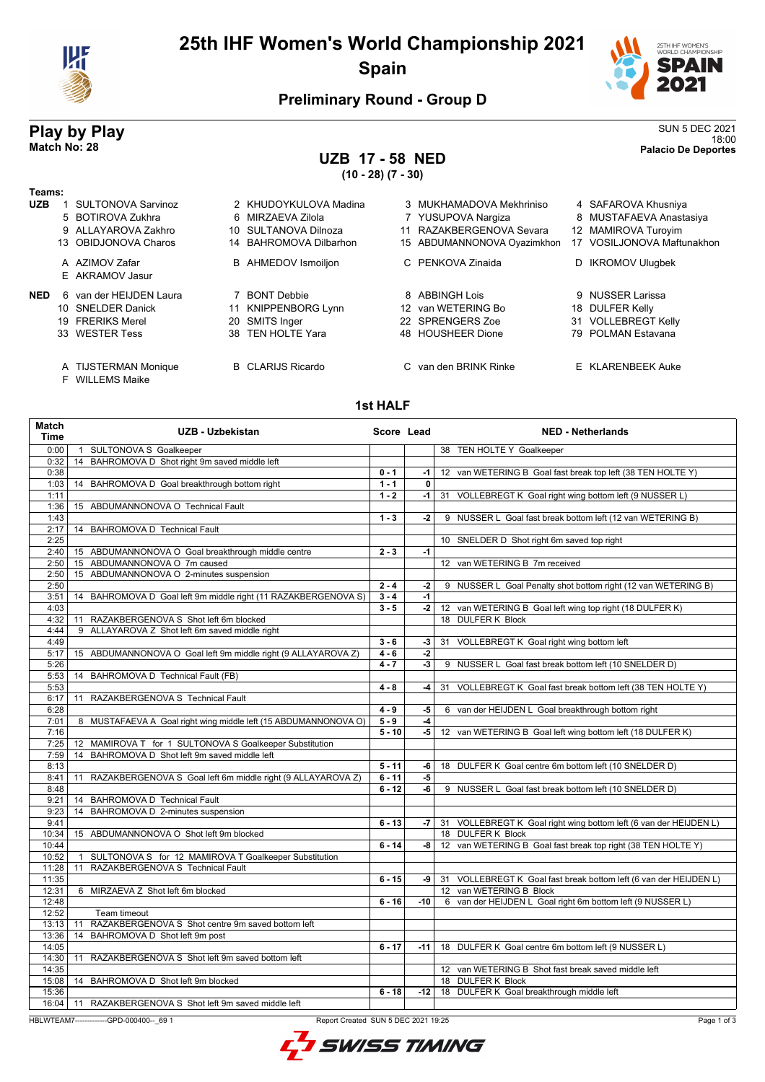

## **25th IHF Women's World Championship 2021 Spain**



18:00 **Match No: 28 Palacio De Deportes**

### **Preliminary Round - Group D**

# **Play by Play**<br>Match No: 28<br>Palacio De Deportes

# **UZB 17 - 58 NED**

**(10 - 28) (7 - 30)**

| Teams:     |                                   |    |                            |                             |    |                        |
|------------|-----------------------------------|----|----------------------------|-----------------------------|----|------------------------|
| <b>UZB</b> | <b>SULTONOVA Sarvinoz</b>         |    | 2 KHUDOYKULOVA Madina      | 3 MUKHAMADOVA Mekhriniso    |    | 4 SAFAROVA Khusniya    |
|            | 5 BOTIROVA Zukhra                 |    | 6 MIRZAEVA Zilola          | 7 YUSUPOVA Nargiza          |    | 8 MUSTAFAEVA Anasta    |
|            | 9 ALLAYAROVA Zakhro               |    | 10 SULTANOVA Dilnoza       | 11 RAZAKBERGENOVA Sevara    |    | 12 MAMIROVA Turoyim    |
|            | 13 OBIDJONOVA Charos              |    | 14 BAHROMOVA Dilbarhon     | 15 ABDUMANNONOVA Oyazimkhon | 17 | VOSILJONOVA Maftu      |
|            | A AZIMOV Zafar<br>E AKRAMOV Jasur |    | <b>B</b> AHMEDOV Ismoiljon | C PENKOVA Zinaida           | D. | <b>IKROMOV Ulugbek</b> |
| <b>NED</b> | 6 van der HEIJDEN Laura           |    | <b>BONT Debbie</b>         | 8 ABBINGH Lois              |    | 9 NUSSER Larissa       |
|            | 10 SNELDER Danick                 |    | 11 KNIPPENBORG Lynn        | 12 van WETERING Bo          |    | 18 DULFER Kelly        |
|            | 19 FRERIKS Merel                  | 20 | SMITS Inger                | 22 SPRENGERS Zoe            |    | 31 VOLLEBREGT Kelly    |
|            | 33 WESTER Tess                    |    | 38 TEN HOLTE Yara          | 48 HOUSHEER Dione           |    | 79 POLMAN Estavana     |
|            |                                   |    |                            |                             |    |                        |

### A TIJSTERMAN Monique B CLARIJS Ricardo C van den BRINK Rinke E KLARENBEEK Auke

F WILLEMS Maike

#### .<br>IS Obidinkhon 17 VOSILJONOVA Maftunakhon da **B** IKROMOV Ulugbek

8 MUSTAFAEVA Anastasiya

- e 31 VOLLEBREGT Kelly 33 WESTER Tess 38 TEN HOLTE Yara 48 HOUSHEER Dione 79 POLMAN Estavana
	-

#### **1st HALF**

| Match<br><b>Time</b> |                                                         | <b>UZB - Uzbekistan</b>                                         | Score Lead |                          | <b>NED - Netherlands</b>                                             |
|----------------------|---------------------------------------------------------|-----------------------------------------------------------------|------------|--------------------------|----------------------------------------------------------------------|
| 0:00                 | 1 SULTONOVA S Goalkeeper                                |                                                                 |            |                          | 38 TEN HOLTE Y Goalkeeper                                            |
| 0:32                 | 14 BAHROMOVA D Shot right 9m saved middle left          |                                                                 |            |                          |                                                                      |
| 0:38                 |                                                         |                                                                 | $0 - 1$    | $-1$                     | 12 van WETERING B Goal fast break top left (38 TEN HOLTE Y)          |
| 1:03                 | 14 BAHROMOVA D Goal breakthrough bottom right           |                                                                 | $1 - 1$    | 0                        |                                                                      |
| 1:11                 |                                                         |                                                                 | $1 - 2$    | -1                       | 31 VOLLEBREGT K Goal right wing bottom left (9 NUSSER L)             |
| 1:36                 | 15 ABDUMANNONOVA O Technical Fault                      |                                                                 |            |                          |                                                                      |
| 1:43                 |                                                         |                                                                 | $1 - 3$    | -2                       | 9 NUSSER L Goal fast break bottom left (12 van WETERING B)           |
| 2:17                 | 14 BAHROMOVA D Technical Fault                          |                                                                 |            |                          |                                                                      |
| 2:25                 |                                                         |                                                                 |            |                          | 10 SNELDER D Shot right 6m saved top right                           |
| 2:40                 | 15 ABDUMANNONOVA O Goal breakthrough middle centre      |                                                                 | $2 - 3$    | $-1$                     |                                                                      |
| 2:50                 | 15 ABDUMANNONOVA O 7m caused                            |                                                                 |            |                          | 12 van WETERING B 7m received                                        |
| 2:50                 | 15 ABDUMANNONOVA O 2-minutes suspension                 |                                                                 |            |                          |                                                                      |
| 2:50                 |                                                         |                                                                 | $2 - 4$    | -2                       | 9 NUSSER L Goal Penalty shot bottom right (12 van WETERING B)        |
| 3:51                 |                                                         | 14 BAHROMOVA D Goal left 9m middle right (11 RAZAKBERGENOVA S)  | $3 - 4$    | $-1$                     |                                                                      |
| 4:03                 |                                                         |                                                                 | $3 - 5$    | -2                       | 12 van WETERING B Goal left wing top right (18 DULFER K)             |
| 4:32                 | 11 RAZAKBERGENOVA S Shot left 6m blocked                |                                                                 |            |                          | 18 DULFER K Block                                                    |
| 4:44                 | 9 ALLAYAROVA Z Shot left 6m saved middle right          |                                                                 | $3 - 6$    |                          |                                                                      |
| 4:49                 |                                                         |                                                                 |            | -3                       | 31 VOLLEBREGT K Goal right wing bottom left                          |
| 5:17                 |                                                         | 15 ABDUMANNONOVA O Goal left 9m middle right (9 ALLAYAROVA Z)   | $4 - 6$    | -2<br>$\overline{\cdot}$ | 9 NUSSER L Goal fast break bottom left (10 SNELDER D)                |
| 5:26<br>5:53         | 14 BAHROMOVA D Technical Fault (FB)                     |                                                                 | $4 - 7$    |                          |                                                                      |
| 5:53                 |                                                         |                                                                 | $4 - 8$    | -4                       | 31 VOLLEBREGT K Goal fast break bottom left (38 TEN HOLTE Y)         |
| 6:17                 | 11 RAZAKBERGENOVA S Technical Fault                     |                                                                 |            |                          |                                                                      |
| 6:28                 |                                                         |                                                                 | $4 - 9$    | -5                       | 6 van der HEIJDEN L Goal breakthrough bottom right                   |
| 7:01                 |                                                         | 8 MUSTAFAEVA A Goal right wing middle left (15 ABDUMANNONOVA O) | $5 - 9$    | -4                       |                                                                      |
| 7:16                 |                                                         |                                                                 | $5 - 10$   | -5                       | 12 van WETERING B Goal left wing bottom left (18 DULFER K)           |
| 7:25                 | 12 MAMIROVA T for 1 SULTONOVA S Goalkeeper Substitution |                                                                 |            |                          |                                                                      |
| 7:59                 | 14 BAHROMOVA D Shot left 9m saved middle left           |                                                                 |            |                          |                                                                      |
| 8:13                 |                                                         |                                                                 | $5 - 11$   | -6                       | 18 DULFER K Goal centre 6m bottom left (10 SNELDER D)                |
| 8:41                 |                                                         | 11 RAZAKBERGENOVA S Goal left 6m middle right (9 ALLAYAROVA Z)  | $6 - 11$   | -5                       |                                                                      |
| 8:48                 |                                                         |                                                                 | $6 - 12$   | $-6$                     | 9 NUSSER L Goal fast break bottom left (10 SNELDER D)                |
| 9:21                 | 14 BAHROMOVA D Technical Fault                          |                                                                 |            |                          |                                                                      |
| 9:23                 | 14 BAHROMOVA D 2-minutes suspension                     |                                                                 |            |                          |                                                                      |
| 9:41                 |                                                         |                                                                 | $6 - 13$   |                          | -7 31 VOLLEBREGT K Goal right wing bottom left (6 van der HEIJDEN L) |
| 10:34                | 15 ABDUMANNONOVA O Shot left 9m blocked                 |                                                                 |            |                          | 18 DULFER K Block                                                    |
| 10:44                |                                                         |                                                                 | $6 - 14$   | -8                       | 12 van WETERING B Goal fast break top right (38 TEN HOLTE Y)         |
| 10:52                |                                                         | 1 SULTONOVA S for 12 MAMIROVA T Goalkeeper Substitution         |            |                          |                                                                      |
| 11:28                | 11 RAZAKBERGENOVA S Technical Fault                     |                                                                 |            |                          |                                                                      |
| 11:35                |                                                         |                                                                 | $6 - 15$   |                          | -9 31 VOLLEBREGT K Goal fast break bottom left (6 van der HEIJDEN L) |
| 12:31                | 6 MIRZAEVA Z Shot left 6m blocked                       |                                                                 |            |                          | 12 van WETERING B Block                                              |
| 12:48                |                                                         |                                                                 | $6 - 16$   | $-10$                    | 6 van der HEIJDEN L Goal right 6m bottom left (9 NUSSER L)           |
| 12:52                | Team timeout                                            |                                                                 |            |                          |                                                                      |
| 13:13                | RAZAKBERGENOVA S Shot centre 9m saved bottom left<br>11 |                                                                 |            |                          |                                                                      |
| 13:36                | 14 BAHROMOVA D Shot left 9m post                        |                                                                 |            |                          |                                                                      |
| 14:05                |                                                         |                                                                 | $6 - 17$   | $-11$                    | 18 DULFER K Goal centre 6m bottom left (9 NUSSER L)                  |
| 14:30                | 11 RAZAKBERGENOVA S Shot left 9m saved bottom left      |                                                                 |            |                          |                                                                      |
| 14:35                |                                                         |                                                                 |            |                          | 12 van WETERING B Shot fast break saved middle left                  |
| 15:08                | 14 BAHROMOVA D Shot left 9m blocked                     |                                                                 |            |                          | 18 DULFER K Block                                                    |
| 15:36                |                                                         |                                                                 | $6 - 18$   | $-12$                    | 18 DULFER K Goal breakthrough middle left                            |
| 16:04                | 11 RAZAKBERGENOVA S Shot left 9m saved middle left      |                                                                 |            |                          |                                                                      |

HBLWTEAM7-------------GPD-000400--\_69 1 Report Created SUN 5 DEC 2021 19:25

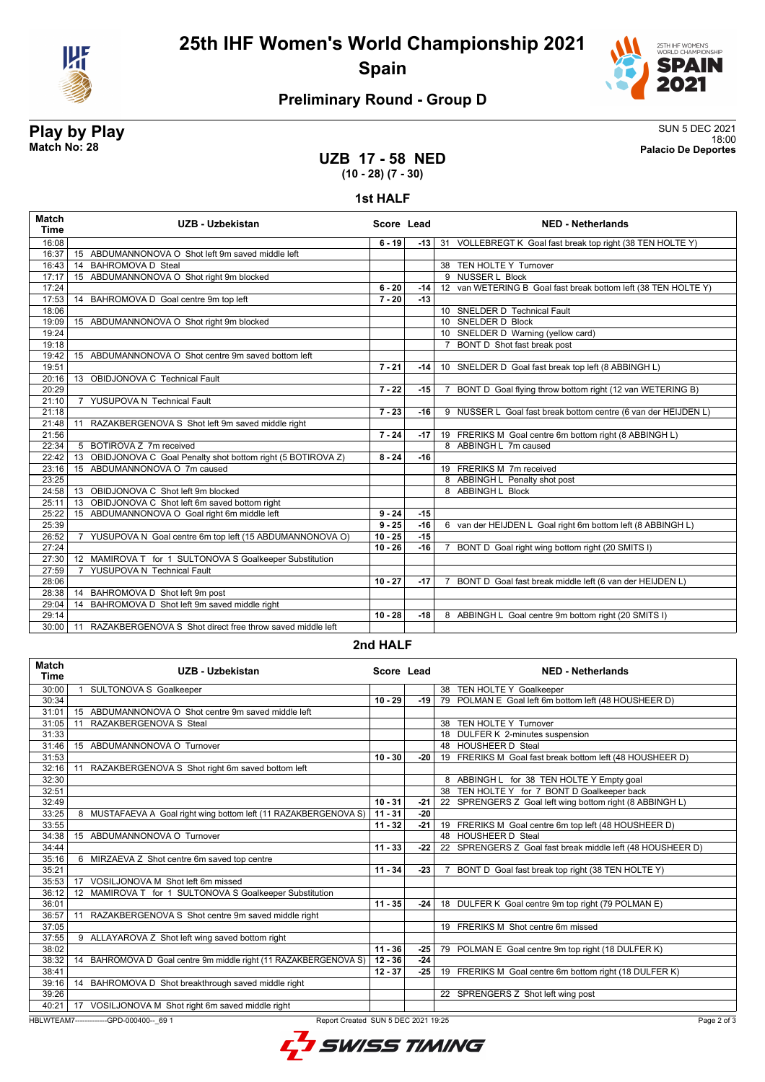

# **25th IHF Women's World Championship 2021 Spain**



### **Preliminary Round - Group D**

#### **Play by Play** SUN 5 DEC 2021 18:00 **Match No: 28 Palacio De Deportes**

**UZB 17 - 58 NED (10 - 28) (7 - 30)**

**1st HALF**

| <b>Match</b><br><b>Time</b> | UZB - Uzbekistan                                                | Score Lead |       | <b>NED - Netherlands</b>                                       |
|-----------------------------|-----------------------------------------------------------------|------------|-------|----------------------------------------------------------------|
| 16:08                       |                                                                 | $6 - 19$   | -13 l | 31 VOLLEBREGT K Goal fast break top right (38 TEN HOLTE Y)     |
| 16:37                       | 15 ABDUMANNONOVA O Shot left 9m saved middle left               |            |       |                                                                |
| 16:43                       | <b>BAHROMOVA D Steal</b><br>14                                  |            |       | 38 TEN HOLTE Y Turnover                                        |
| 17:17                       | 15 ABDUMANNONOVA O Shot right 9m blocked                        |            |       | 9 NUSSER L Block                                               |
| 17:24                       |                                                                 | $6 - 20$   | -14 l | 12 van WETERING B Goal fast break bottom left (38 TEN HOLTE Y) |
| 17:53                       | 14 BAHROMOVA D Goal centre 9m top left                          | $7 - 20$   | $-13$ |                                                                |
| 18:06                       |                                                                 |            |       | 10 SNELDER D Technical Fault                                   |
| 19:09                       | 15 ABDUMANNONOVA O Shot right 9m blocked                        |            |       | 10 SNELDER D Block                                             |
| 19:24                       |                                                                 |            |       | 10 SNELDER D Warning (yellow card)                             |
| 19:18                       |                                                                 |            |       | 7 BONT D Shot fast break post                                  |
| 19:42                       | 15 ABDUMANNONOVA O Shot centre 9m saved bottom left             |            |       |                                                                |
| 19:51                       |                                                                 | $7 - 21$   | $-14$ | 10 SNELDER D Goal fast break top left (8 ABBINGH L)            |
| 20:16                       | 13 OBIDJONOVA C Technical Fault                                 |            |       |                                                                |
| 20:29                       |                                                                 | $7 - 22$   | $-15$ | 7 BONT D Goal flying throw bottom right (12 van WETERING B)    |
| 21:10                       | 7 YUSUPOVA N Technical Fault                                    |            |       |                                                                |
| 21:18                       |                                                                 | $7 - 23$   | $-16$ | 9 NUSSER L Goal fast break bottom centre (6 van der HEIJDEN L) |
| 21:48                       | RAZAKBERGENOVA S Shot left 9m saved middle right<br>11          |            |       |                                                                |
| 21:56                       |                                                                 | $7 - 24$   | $-17$ | 19 FRERIKS M Goal centre 6m bottom right (8 ABBINGH L)         |
| 22:34                       | 5 BOTIROVA Z 7m received                                        |            |       | 8 ABBINGH L 7m caused                                          |
| 22:42                       | 13 OBIDJONOVA C Goal Penalty shot bottom right (5 BOTIROVA Z)   | $8 - 24$   | $-16$ |                                                                |
| 23:16                       | 15 ABDUMANNONOVA O 7m caused                                    |            |       | 19 FRERIKS M 7m received                                       |
| 23:25                       |                                                                 |            |       | 8 ABBINGH L Penalty shot post                                  |
| 24:58                       | 13 OBIDJONOVA C Shot left 9m blocked                            |            |       | 8 ABBINGH L Block                                              |
| 25:11                       | 13 OBIDJONOVA C Shot left 6m saved bottom right                 |            |       |                                                                |
| 25:22                       | 15 ABDUMANNONOVA O Goal right 6m middle left                    | $9 - 24$   | $-15$ |                                                                |
| 25:39                       |                                                                 | $9 - 25$   | $-16$ | 6 van der HEIJDEN L Goal right 6m bottom left (8 ABBINGH L)    |
| 26:52                       | 7 YUSUPOVA N Goal centre 6m top left (15 ABDUMANNONOVA O)       | $10 - 25$  | $-15$ |                                                                |
| 27:24                       |                                                                 | $10 - 26$  | $-16$ | 7 BONT D Goal right wing bottom right (20 SMITS I)             |
| 27:30                       | 12 MAMIROVA T for 1 SULTONOVA S Goalkeeper Substitution         |            |       |                                                                |
| 27:59                       | YUSUPOVA N Technical Fault<br>$\overline{7}$                    |            |       |                                                                |
| 28:06                       |                                                                 | $10 - 27$  | $-17$ | 7 BONT D Goal fast break middle left (6 van der HEIJDEN L)     |
| 28:38                       | 14 BAHROMOVA D Shot left 9m post                                |            |       |                                                                |
| 29:04                       | BAHROMOVA D Shot left 9m saved middle right<br>14               |            |       |                                                                |
| 29:14                       |                                                                 | $10 - 28$  | $-18$ | 8 ABBINGH L Goal centre 9m bottom right (20 SMITS I)           |
| 30:00                       | RAZAKBERGENOVA S Shot direct free throw saved middle left<br>11 |            |       |                                                                |

#### **2nd HALF**

| Match<br><b>Time</b>                                                                          | UZB - Uzbekistan                                                 | Score Lead |       | <b>NED - Netherlands</b>                                            |  |
|-----------------------------------------------------------------------------------------------|------------------------------------------------------------------|------------|-------|---------------------------------------------------------------------|--|
| 30:00                                                                                         | <b>SULTONOVA S Goalkeeper</b>                                    |            |       | 38 TEN HOLTE Y Goalkeeper                                           |  |
| 30:34                                                                                         |                                                                  | $10 - 29$  | -19 l | 79 POLMAN E Goal left 6m bottom left (48 HOUSHEER D)                |  |
| 31:01                                                                                         | ABDUMANNONOVA O Shot centre 9m saved middle left<br>15           |            |       |                                                                     |  |
| 31:05                                                                                         | RAZAKBERGENOVA S Steal<br>11                                     |            |       | 38 TEN HOLTE Y Turnover                                             |  |
| 31:33                                                                                         |                                                                  |            |       | 18 DULFER K 2-minutes suspension                                    |  |
| 31:46                                                                                         | 15 ABDUMANNONOVA O Turnover                                      |            |       | 48 HOUSHEER D Steal                                                 |  |
| 31:53                                                                                         |                                                                  | $10 - 30$  | $-20$ | 19 FRERIKS M Goal fast break bottom left (48 HOUSHEER D)            |  |
| 32:16                                                                                         | RAZAKBERGENOVA S Shot right 6m saved bottom left<br>11           |            |       |                                                                     |  |
| 32:30                                                                                         |                                                                  |            |       | 8 ABBINGH L for 38 TEN HOLTE Y Empty goal                           |  |
| 32:51                                                                                         |                                                                  |            |       | 38 TEN HOLTE Y for 7 BONT D Goalkeeper back                         |  |
| 32:49                                                                                         |                                                                  | $10 - 31$  | -21   | 22 SPRENGERS Z Goal left wing bottom right (8 ABBINGH L)            |  |
| 33:25                                                                                         | 8 MUSTAFAEVA A Goal right wing bottom left (11 RAZAKBERGENOVA S) | $11 - 31$  | $-20$ |                                                                     |  |
| 33:55                                                                                         |                                                                  | $11 - 32$  | $-21$ | 19 FRERIKS M Goal centre 6m top left (48 HOUSHEER D)                |  |
| 34:38                                                                                         | 15 ABDUMANNONOVA O Turnover                                      |            |       | 48 HOUSHEER D Steal                                                 |  |
| 34:44                                                                                         |                                                                  | $11 - 33$  | -22   | 22 SPRENGERS Z Goal fast break middle left (48 HOUSHEER D)          |  |
| 35:16                                                                                         | 6 MIRZAEVA Z Shot centre 6m saved top centre                     |            |       |                                                                     |  |
| 35:21                                                                                         |                                                                  | $11 - 34$  | $-23$ | BONT D Goal fast break top right (38 TEN HOLTE Y)<br>$\overline{7}$ |  |
| 35:53                                                                                         | VOSILJONOVA M Shot left 6m missed<br>17                          |            |       |                                                                     |  |
| 36:12                                                                                         | MAMIROVA T for 1 SULTONOVA S Goalkeeper Substitution<br>12       |            |       |                                                                     |  |
| 36:01                                                                                         |                                                                  | $11 - 35$  | -24   | 18 DULFER K Goal centre 9m top right (79 POLMAN E)                  |  |
| 36:57                                                                                         | RAZAKBERGENOVA S Shot centre 9m saved middle right               |            |       |                                                                     |  |
| 37:05                                                                                         |                                                                  |            |       | 19 FRERIKS M Shot centre 6m missed                                  |  |
| 37:55                                                                                         | 9 ALLAYAROVA Z Shot left wing saved bottom right                 |            |       |                                                                     |  |
| 38:02                                                                                         |                                                                  | $11 - 36$  | $-25$ | 79 POLMAN E Goal centre 9m top right (18 DULFER K)                  |  |
| 38:32                                                                                         | 14 BAHROMOVA D Goal centre 9m middle right (11 RAZAKBERGENOVA S) | $12 - 36$  | $-24$ |                                                                     |  |
| 38:41                                                                                         |                                                                  | $12 - 37$  | $-25$ | 19 FRERIKS M Goal centre 6m bottom right (18 DULFER K)              |  |
| 39:16                                                                                         | 14 BAHROMOVA D Shot breakthrough saved middle right              |            |       |                                                                     |  |
| 39:26                                                                                         |                                                                  |            |       | 22 SPRENGERS Z Shot left wing post                                  |  |
| 40:21                                                                                         | 17 VOSILJONOVA M Shot right 6m saved middle right                |            |       |                                                                     |  |
| HBLWTEAM7-------------GPD-000400-- 69 1<br>Report Created SUN 5 DEC 2021 19:25<br>Page 2 of 3 |                                                                  |            |       |                                                                     |  |